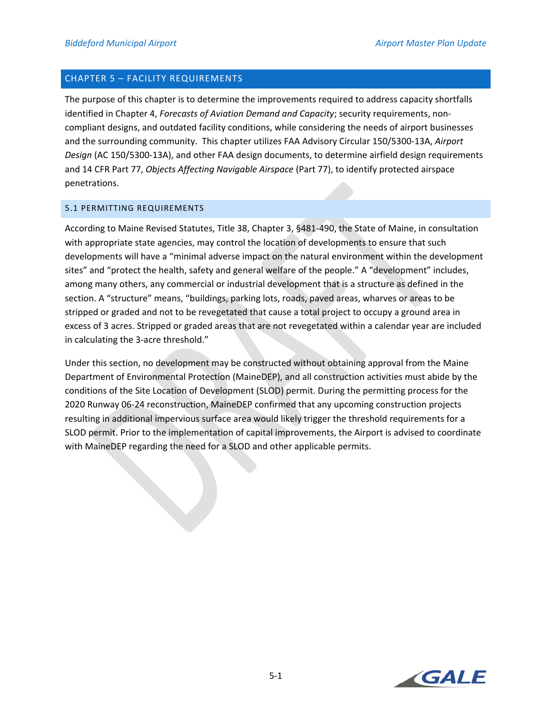# CHAPTER 5 – FACILITY REQUIREMENTS

The purpose of this chapter is to determine the improvements required to address capacity shortfalls identified in Chapter 4, *Forecasts of Aviation Demand and Capacity*; security requirements, non‐ compliant designs, and outdated facility conditions, while considering the needs of airport businesses and the surrounding community. This chapter utilizes FAA Advisory Circular 150/5300‐13A, *Airport Design* (AC 150/5300‐13A), and other FAA design documents, to determine airfield design requirements and 14 CFR Part 77, *Objects Affecting Navigable Airspace* (Part 77), to identify protected airspace penetrations.

## 5.1 PERMITTING REQUIREMENTS

According to Maine Revised Statutes, Title 38, Chapter 3, §481‐490, the State of Maine, in consultation with appropriate state agencies, may control the location of developments to ensure that such developments will have a "minimal adverse impact on the natural environment within the development sites" and "protect the health, safety and general welfare of the people." A "development" includes, among many others, any commercial or industrial development that is a structure as defined in the section. A "structure" means, "buildings, parking lots, roads, paved areas, wharves or areas to be stripped or graded and not to be revegetated that cause a total project to occupy a ground area in excess of 3 acres. Stripped or graded areas that are not revegetated within a calendar year are included in calculating the 3‐acre threshold."

Under this section, no development may be constructed without obtaining approval from the Maine Department of Environmental Protection (MaineDEP), and all construction activities must abide by the conditions of the Site Location of Development (SLOD) permit. During the permitting process for the 2020 Runway 06‐24 reconstruction, MaineDEP confirmed that any upcoming construction projects resulting in additional impervious surface area would likely trigger the threshold requirements for a SLOD permit. Prior to the implementation of capital improvements, the Airport is advised to coordinate with MaineDEP regarding the need for a SLOD and other applicable permits.

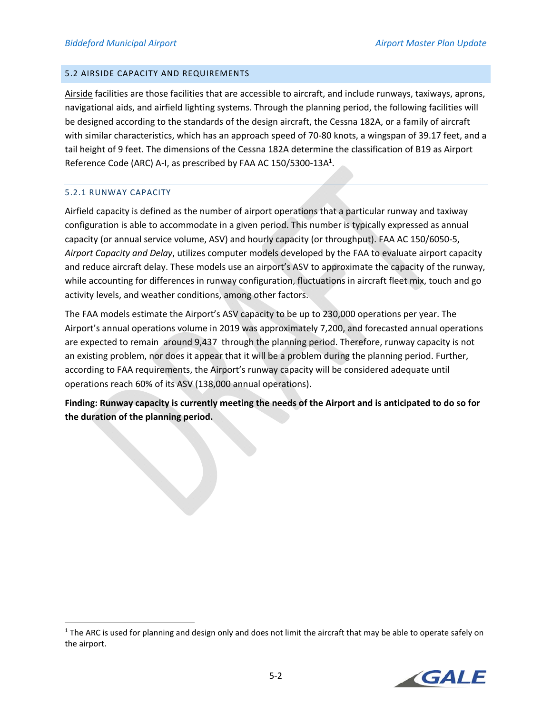## 5.2 AIRSIDE CAPACITY AND REQUIREMENTS

Airside facilities are those facilities that are accessible to aircraft, and include runways, taxiways, aprons, navigational aids, and airfield lighting systems. Through the planning period, the following facilities will be designed according to the standards of the design aircraft, the Cessna 182A, or a family of aircraft with similar characteristics, which has an approach speed of 70-80 knots, a wingspan of 39.17 feet, and a tail height of 9 feet. The dimensions of the Cessna 182A determine the classification of B19 as Airport Reference Code (ARC) A-I, as prescribed by FAA AC 150/5300-13A<sup>1</sup>.

## 5.2.1 RUNWAY CAPACITY

Airfield capacity is defined as the number of airport operations that a particular runway and taxiway configuration is able to accommodate in a given period. This number is typically expressed as annual capacity (or annual service volume, ASV) and hourly capacity (or throughput). FAA AC 150/6050‐5, *Airport Capacity and Delay*, utilizes computer models developed by the FAA to evaluate airport capacity and reduce aircraft delay. These models use an airport's ASV to approximate the capacity of the runway, while accounting for differences in runway configuration, fluctuations in aircraft fleet mix, touch and go activity levels, and weather conditions, among other factors.

The FAA models estimate the Airport's ASV capacity to be up to 230,000 operations per year. The Airport's annual operations volume in 2019 was approximately 7,200, and forecasted annual operations are expected to remain around 9,437 through the planning period. Therefore, runway capacity is not an existing problem, nor does it appear that it will be a problem during the planning period. Further, according to FAA requirements, the Airport's runway capacity will be considered adequate until operations reach 60% of its ASV (138,000 annual operations).

**Finding: Runway capacity is currently meeting the needs of the Airport and is anticipated to do so for the duration of the planning period.** 

 $1$  The ARC is used for planning and design only and does not limit the aircraft that may be able to operate safely on the airport.

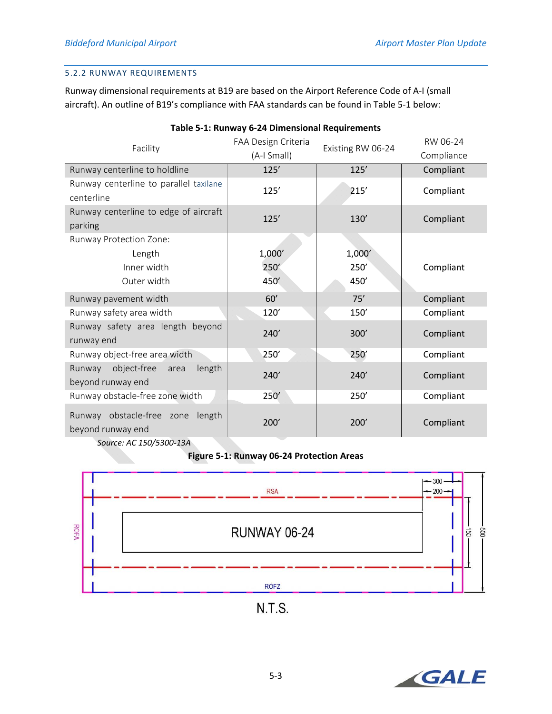# 5.2.2 RUNWAY REQUIREMENTS

Runway dimensional requirements at B19 are based on the Airport Reference Code of A‐I (small aircraft). An outline of B19's compliance with FAA standards can be found in Table 5‐1 below:

| Facility                                                                            | FAA Design Criteria<br>(A-I Small) | Existing RW 06-24 | RW 06-24<br>Compliance |
|-------------------------------------------------------------------------------------|------------------------------------|-------------------|------------------------|
| Runway centerline to holdline                                                       | 125'                               | 125'              | Compliant              |
| Runway centerline to parallel taxilane<br>centerline                                | 125'                               | 215'              | Compliant              |
| Runway centerline to edge of aircraft<br>parking                                    | 125'                               | 130'              | Compliant              |
| Runway Protection Zone:                                                             |                                    |                   |                        |
| Length                                                                              | 1,000'                             | 1,000'            |                        |
| Inner width                                                                         | 250                                | 250'              | Compliant              |
| Outer width                                                                         | 450                                | 450'              |                        |
| Runway pavement width                                                               | 60'                                | 75'               | Compliant              |
| Runway safety area width                                                            | 120'                               | 150'              | Compliant              |
| Runway safety area length beyond<br>runway end                                      | 240'                               | 300'              | Compliant              |
| Runway object-free area width                                                       | 250'                               | 250'              | Compliant              |
| Runway<br>object-free<br>length<br>area<br>beyond runway end                        | 240'                               | 240'              | Compliant              |
| Runway obstacle-free zone width                                                     | 250'                               | 250'              | Compliant              |
| Runway obstacle-free zone<br>length<br>beyond runway end<br>Source: AC 150/5300-13A | 200'                               | 200'              | Compliant              |

# **Table 5‐1: Runway 6‐24 Dimensional Requirements**

# **Figure 5‐1: Runway 06‐24 Protection Areas**



 $N.T.S.$ 

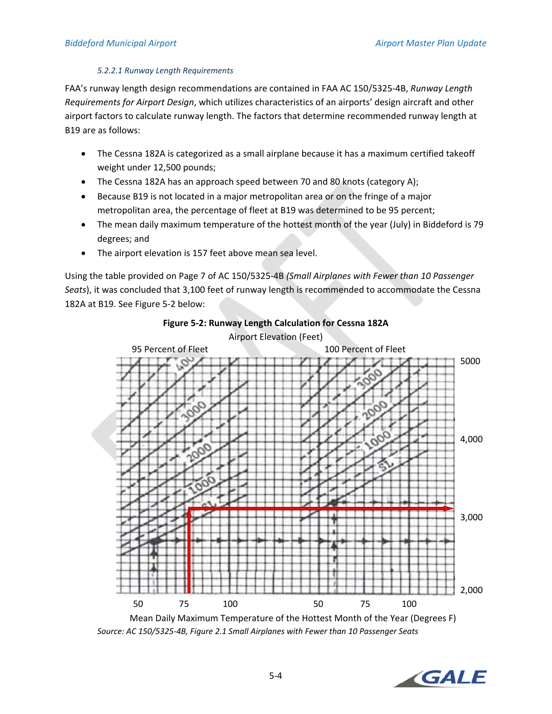## *5.2.2.1 Runway Length Requirements*

FAA's runway length design recommendations are contained in FAA AC 150/5325‐4B, *Runway Length Requirements for Airport Design*, which utilizes characteristics of an airports' design aircraft and other airport factors to calculate runway length. The factors that determine recommended runway length at B19 are as follows:

- The Cessna 182A is categorized as a small airplane because it has a maximum certified takeoff weight under 12,500 pounds;
- The Cessna 182A has an approach speed between 70 and 80 knots (category A);
- Because B19 is not located in a major metropolitan area or on the fringe of a major metropolitan area, the percentage of fleet at B19 was determined to be 95 percent;
- The mean daily maximum temperature of the hottest month of the year (July) in Biddeford is 79 degrees; and
- The airport elevation is 157 feet above mean sea level.

Using the table provided on Page 7 of AC 150/5325‐4B *(Small Airplanes with Fewer than 10 Passenger Seats*), it was concluded that 3,100 feet of runway length is recommended to accommodate the Cessna 182A at B19. See Figure 5‐2 below:



**Figure 5‐2: Runway Length Calculation for Cessna 182A** 

*Source: AC 150/5325‐4B, Figure 2.1 Small Airplanes with Fewer than 10 Passenger Seats* 

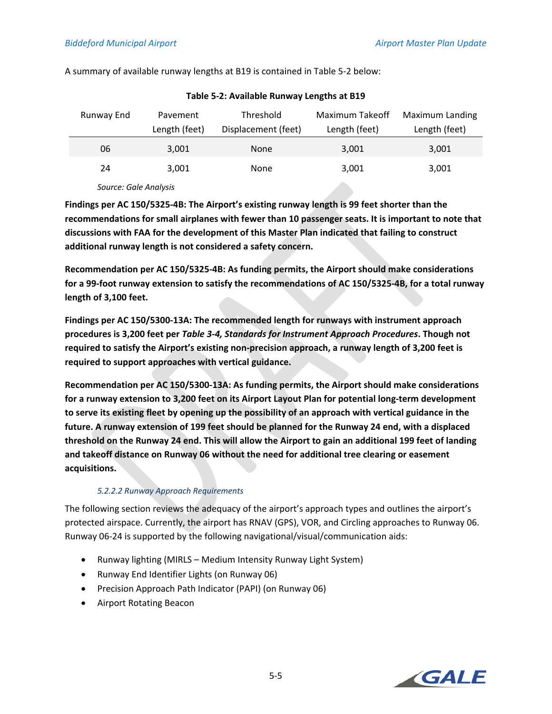| Runway End | Pavement      | Threshold           | Maximum Takeoff | Maximum Landing |
|------------|---------------|---------------------|-----------------|-----------------|
|            | Length (feet) | Displacement (feet) | Length (feet)   | Length (feet)   |
| 06         | 3,001         | None                | 3,001           | 3,001           |
| 24         | 3,001         | None                | 3,001           | 3,001           |
|            |               |                     |                 |                 |

A summary of available runway lengths at B19 is contained in Table 5‐2 below:

**Table 5‐2: Available Runway Lengths at B19** 

*Source: Gale Analysis* 

**Findings per AC 150/5325‐4B: The Airport's existing runway length is 99 feet shorter than the recommendations for small airplanes with fewer than 10 passenger seats. It is important to note that discussions with FAA for the development of this Master Plan indicated that failing to construct additional runway length is not considered a safety concern.** 

**Recommendation per AC 150/5325‐4B: As funding permits, the Airport should make considerations for a 99‐foot runway extension to satisfy the recommendations of AC 150/5325‐4B, for a total runway length of 3,100 feet.** 

**Findings per AC 150/5300‐13A: The recommended length for runways with instrument approach procedures is 3,200 feet per** *Table 3‐4, Standards for Instrument Approach Procedures***. Though not required to satisfy the Airport's existing non‐precision approach, a runway length of 3,200 feet is required to support approaches with vertical guidance.** 

**Recommendation per AC 150/5300‐13A: As funding permits, the Airport should make considerations for a runway extension to 3,200 feet on its Airport Layout Plan for potential long‐term development to serve its existing fleet by opening up the possibility of an approach with vertical guidance in the future. A runway extension of 199 feet should be planned for the Runway 24 end, with a displaced threshold on the Runway 24 end. This will allow the Airport to gain an additional 199 feet of landing and takeoff distance on Runway 06 without the need for additional tree clearing or easement acquisitions.** 

# *5.2.2.2 Runway Approach Requirements*

The following section reviews the adequacy of the airport's approach types and outlines the airport's protected airspace. Currently, the airport has RNAV (GPS), VOR, and Circling approaches to Runway 06. Runway 06‐24 is supported by the following navigational/visual/communication aids:

- Runway lighting (MIRLS Medium Intensity Runway Light System)
- Runway End Identifier Lights (on Runway 06)
- Precision Approach Path Indicator (PAPI) (on Runway 06)
- Airport Rotating Beacon

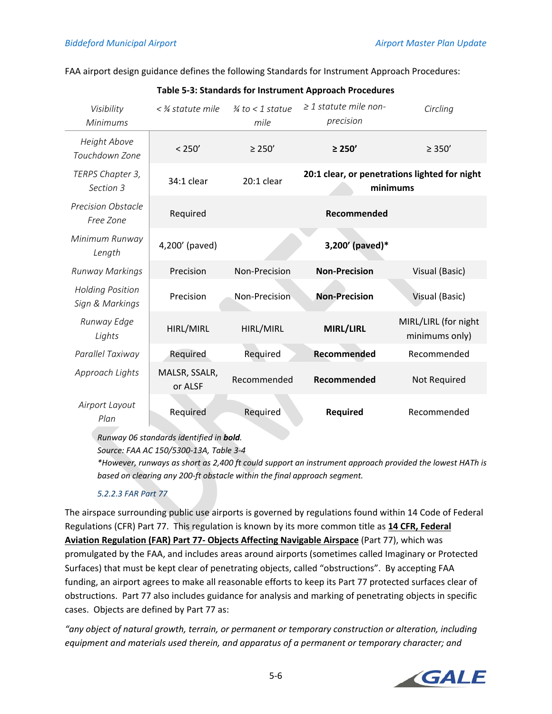FAA airport design guidance defines the following Standards for Instrument Approach Procedures:

| Visibility<br><b>Minimums</b>              | $<$ % statute mile       | $\frac{3}{4}$ to < 1 statue<br>mile | $\geq$ 1 statute mile non-<br>precision | Circling                                      |
|--------------------------------------------|--------------------------|-------------------------------------|-----------------------------------------|-----------------------------------------------|
| <b>Height Above</b><br>Touchdown Zone      | < 250'                   | $\geq 250'$                         | $\geq$ 250'                             | $\geq 350'$                                   |
| TERPS Chapter 3,<br>Section 3              | 34:1 clear               | $20:1$ clear                        | minimums                                | 20:1 clear, or penetrations lighted for night |
| <b>Precision Obstacle</b><br>Free Zone     | Required                 |                                     | Recommended                             |                                               |
| Minimum Runway<br>Length                   | 4,200' (paved)           |                                     | 3,200' (paved)*                         |                                               |
| <b>Runway Markings</b>                     | Precision                | Non-Precision                       | <b>Non-Precision</b>                    | Visual (Basic)                                |
| <b>Holding Position</b><br>Sign & Markings | Precision                | Non-Precision                       | <b>Non-Precision</b>                    | Visual (Basic)                                |
| Runway Edge<br>Lights                      | HIRL/MIRL                | HIRL/MIRL                           | MIRL/LIRL                               | MIRL/LIRL (for night<br>minimums only)        |
| Parallel Taxiway                           | Required                 | Required                            | Recommended                             | Recommended                                   |
| Approach Lights                            | MALSR, SSALR,<br>or ALSF | Recommended                         | Recommended                             | Not Required                                  |
| Airport Layout<br>Plan                     | Required                 | Required                            | Required                                | Recommended                                   |

## **Table 5‐3: Standards for Instrument Approach Procedures**

*Runway 06 standards identified in bold.* 

*Source: FAA AC 150/5300‐13A, Table 3‐4* 

*\*However, runways as short as 2,400 ft could support an instrument approach provided the lowest HATh is based on clearing any 200‐ft obstacle within the final approach segment.* 

# *5.2.2.3 FAR Part 77*

The airspace surrounding public use airports is governed by regulations found within 14 Code of Federal Regulations (CFR) Part 77. This regulation is known by its more common title as **14 CFR, Federal Aviation Regulation (FAR) Part 77‐ Objects Affecting Navigable Airspace** (Part 77), which was promulgated by the FAA, and includes areas around airports (sometimes called Imaginary or Protected Surfaces) that must be kept clear of penetrating objects, called "obstructions". By accepting FAA funding, an airport agrees to make all reasonable efforts to keep its Part 77 protected surfaces clear of obstructions. Part 77 also includes guidance for analysis and marking of penetrating objects in specific cases. Objects are defined by Part 77 as:

*"any object of natural growth, terrain, or permanent or temporary construction or alteration, including equipment and materials used therein, and apparatus of a permanent or temporary character; and* 

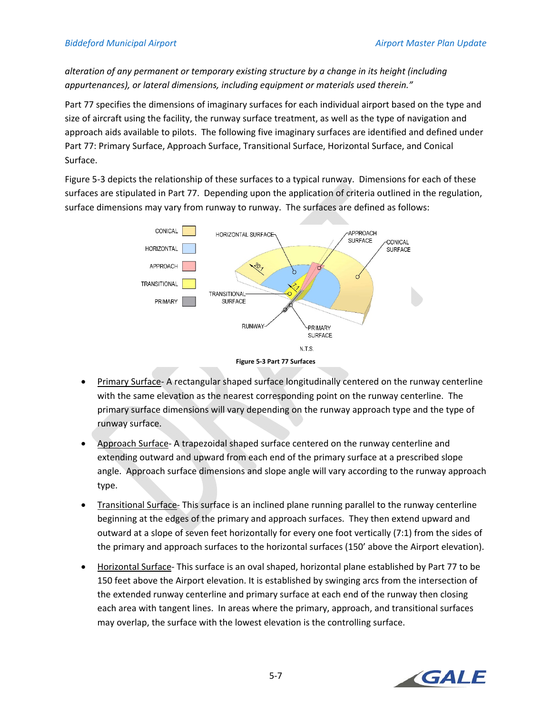*alteration of any permanent or temporary existing structure by a change in its height (including appurtenances), or lateral dimensions, including equipment or materials used therein."* 

Part 77 specifies the dimensions of imaginary surfaces for each individual airport based on the type and size of aircraft using the facility, the runway surface treatment, as well as the type of navigation and approach aids available to pilots. The following five imaginary surfaces are identified and defined under Part 77: Primary Surface, Approach Surface, Transitional Surface, Horizontal Surface, and Conical Surface.

Figure 5‐3 depicts the relationship of these surfaces to a typical runway. Dimensions for each of these surfaces are stipulated in Part 77. Depending upon the application of criteria outlined in the regulation, surface dimensions may vary from runway to runway. The surfaces are defined as follows:





- Approach Surface-A trapezoidal shaped surface centered on the runway centerline and extending outward and upward from each end of the primary surface at a prescribed slope angle. Approach surface dimensions and slope angle will vary according to the runway approach type.
- Transitional Surface‐ This surface is an inclined plane running parallel to the runway centerline beginning at the edges of the primary and approach surfaces. They then extend upward and outward at a slope of seven feet horizontally for every one foot vertically (7:1) from the sides of the primary and approach surfaces to the horizontal surfaces (150' above the Airport elevation).
- Horizontal Surface‐ This surface is an oval shaped, horizontal plane established by Part 77 to be 150 feet above the Airport elevation. It is established by swinging arcs from the intersection of the extended runway centerline and primary surface at each end of the runway then closing each area with tangent lines. In areas where the primary, approach, and transitional surfaces may overlap, the surface with the lowest elevation is the controlling surface.

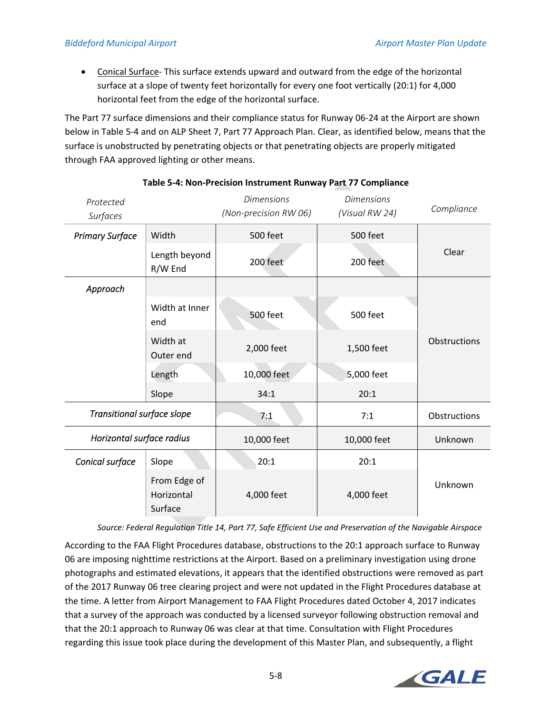● Conical Surface-This surface extends upward and outward from the edge of the horizontal surface at a slope of twenty feet horizontally for every one foot vertically (20:1) for 4,000 horizontal feet from the edge of the horizontal surface.

The Part 77 surface dimensions and their compliance status for Runway 06‐24 at the Airport are shown below in Table 5‐4 and on ALP Sheet 7, Part 77 Approach Plan. Clear, as identified below, means that the surface is unobstructed by penetrating objects or that penetrating objects are properly mitigated through FAA approved lighting or other means.

| Protected<br>Surfaces      |                                       | <b>Dimensions</b><br>(Non-precision RW 06) | <b>Dimensions</b><br>(Visual RW 24) | Compliance   |  |
|----------------------------|---------------------------------------|--------------------------------------------|-------------------------------------|--------------|--|
| <b>Primary Surface</b>     | Width                                 | 500 feet                                   | <b>500 feet</b>                     |              |  |
|                            | Length beyond<br>R/W End              | 200 feet                                   | 200 feet                            | Clear        |  |
| Approach                   |                                       |                                            |                                     |              |  |
|                            | Width at Inner<br>end                 | <b>500 feet</b>                            | <b>500 feet</b>                     |              |  |
|                            | Width at<br>Outer end                 | 2,000 feet                                 | 1,500 feet                          | Obstructions |  |
|                            | Length                                | 10,000 feet                                | 5,000 feet                          |              |  |
|                            | Slope                                 | 34:1                                       | 20:1                                |              |  |
| Transitional surface slope |                                       | 7:1                                        | 7:1                                 | Obstructions |  |
| Horizontal surface radius  |                                       | 10,000 feet                                | 10,000 feet                         | Unknown      |  |
| Conical surface            | Slope                                 | 20:1                                       | 20:1                                |              |  |
|                            | From Edge of<br>Horizontal<br>Surface | 4,000 feet                                 | 4,000 feet                          | Unknown      |  |

# **Table 5‐4: Non‐Precision Instrument Runway Part 77 Compliance**

*Source: Federal Regulation Title 14, Part 77, Safe Efficient Use and Preservation of the Navigable Airspace* 

According to the FAA Flight Procedures database, obstructions to the 20:1 approach surface to Runway 06 are imposing nighttime restrictions at the Airport. Based on a preliminary investigation using drone photographs and estimated elevations, it appears that the identified obstructions were removed as part of the 2017 Runway 06 tree clearing project and were not updated in the Flight Procedures database at the time. A letter from Airport Management to FAA Flight Procedures dated October 4, 2017 indicates that a survey of the approach was conducted by a licensed surveyor following obstruction removal and that the 20:1 approach to Runway 06 was clear at that time. Consultation with Flight Procedures regarding this issue took place during the development of this Master Plan, and subsequently, a flight

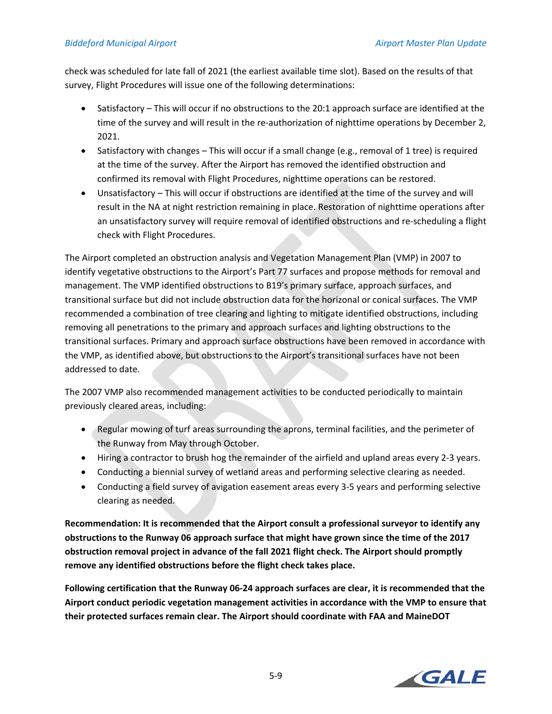check was scheduled for late fall of 2021 (the earliest available time slot). Based on the results of that survey, Flight Procedures will issue one of the following determinations:

- Satisfactory This will occur if no obstructions to the 20:1 approach surface are identified at the time of the survey and will result in the re-authorization of nighttime operations by December 2, 2021.
- Satisfactory with changes This will occur if a small change (e.g., removal of 1 tree) is required at the time of the survey. After the Airport has removed the identified obstruction and confirmed its removal with Flight Procedures, nighttime operations can be restored.
- Unsatisfactory This will occur if obstructions are identified at the time of the survey and will result in the NA at night restriction remaining in place. Restoration of nighttime operations after an unsatisfactory survey will require removal of identified obstructions and re‐scheduling a flight check with Flight Procedures.

The Airport completed an obstruction analysis and Vegetation Management Plan (VMP) in 2007 to identify vegetative obstructions to the Airport's Part 77 surfaces and propose methods for removal and management. The VMP identified obstructions to B19's primary surface, approach surfaces, and transitional surface but did not include obstruction data for the horizonal or conical surfaces. The VMP recommended a combination of tree clearing and lighting to mitigate identified obstructions, including removing all penetrations to the primary and approach surfaces and lighting obstructions to the transitional surfaces. Primary and approach surface obstructions have been removed in accordance with the VMP, as identified above, but obstructions to the Airport's transitional surfaces have not been addressed to date.

The 2007 VMP also recommended management activities to be conducted periodically to maintain previously cleared areas, including:

- Regular mowing of turf areas surrounding the aprons, terminal facilities, and the perimeter of the Runway from May through October.
- Hiring a contractor to brush hog the remainder of the airfield and upland areas every 2-3 years.
- Conducting a biennial survey of wetland areas and performing selective clearing as needed.
- Conducting a field survey of avigation easement areas every 3-5 years and performing selective clearing as needed.

**Recommendation: It is recommended that the Airport consult a professional surveyor to identify any obstructions to the Runway 06 approach surface that might have grown since the time of the 2017 obstruction removal project in advance of the fall 2021 flight check. The Airport should promptly remove any identified obstructions before the flight check takes place.** 

**Following certification that the Runway 06‐24 approach surfaces are clear, it is recommended that the Airport conduct periodic vegetation management activities in accordance with the VMP to ensure that their protected surfaces remain clear. The Airport should coordinate with FAA and MaineDOT** 

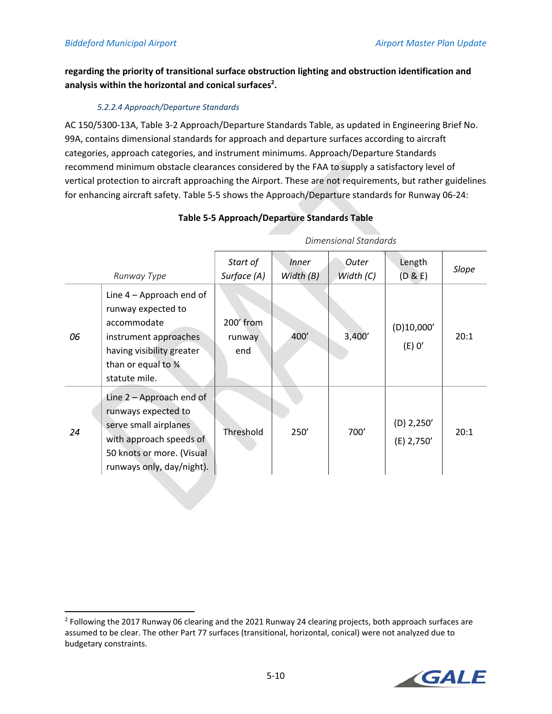# **regarding the priority of transitional surface obstruction lighting and obstruction identification and**  analysis within the horizontal and conical surfaces<sup>2</sup>.

# *5.2.2.4 Approach/Departure Standards*

AC 150/5300‐13A, Table 3‐2 Approach/Departure Standards Table, as updated in Engineering Brief No. 99A, contains dimensional standards for approach and departure surfaces according to aircraft categories, approach categories, and instrument minimums. Approach/Departure Standards recommend minimum obstacle clearances considered by the FAA to supply a satisfactory level of vertical protection to aircraft approaching the Airport. These are not requirements, but rather guidelines for enhancing aircraft safety. Table 5‐5 shows the Approach/Departure standards for Runway 06‐24:

|             |                                                                                                                                                                 | Dimensional Standards      |                             |                    |                            |       |
|-------------|-----------------------------------------------------------------------------------------------------------------------------------------------------------------|----------------------------|-----------------------------|--------------------|----------------------------|-------|
| Runway Type |                                                                                                                                                                 | Start of<br>Surface (A)    | <i>Inner</i><br>Width $(B)$ | Outer<br>Width (C) | Length<br>(D & E)          | Slope |
| 06          | Line $4 -$ Approach end of<br>runway expected to<br>accommodate<br>instrument approaches<br>having visibility greater<br>than or equal to 34<br>statute mile.   | 200' from<br>runway<br>end | 400'                        | 3,400'             | (D)10,000'<br>$(E)$ O'     | 20:1  |
| 24          | Line $2 -$ Approach end of<br>runways expected to<br>serve small airplanes<br>with approach speeds of<br>50 knots or more. (Visual<br>runways only, day/night). | Threshold                  | 250'                        | 700'               | $(D)$ 2,250'<br>(E) 2,750' | 20:1  |

# **Table 5‐5 Approach/Departure Standards Table**

 $2$  Following the 2017 Runway 06 clearing and the 2021 Runway 24 clearing projects, both approach surfaces are assumed to be clear. The other Part 77 surfaces (transitional, horizontal, conical) were not analyzed due to budgetary constraints.

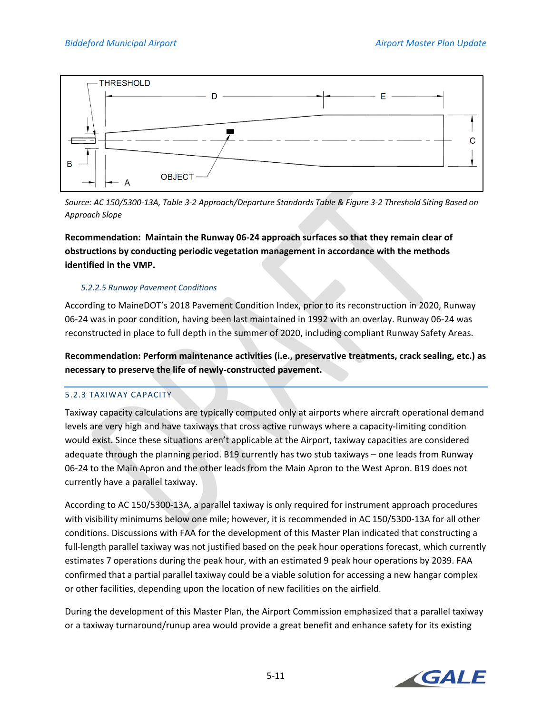

*Source: AC 150/5300‐13A, Table 3‐2 Approach/Departure Standards Table & Figure 3‐2 Threshold Siting Based on Approach Slope* 

**Recommendation: Maintain the Runway 06‐24 approach surfaces so that they remain clear of obstructions by conducting periodic vegetation management in accordance with the methods identified in the VMP.** 

# *5.2.2.5 Runway Pavement Conditions*

According to MaineDOT's 2018 Pavement Condition Index, prior to its reconstruction in 2020, Runway 06‐24 was in poor condition, having been last maintained in 1992 with an overlay. Runway 06‐24 was reconstructed in place to full depth in the summer of 2020, including compliant Runway Safety Areas.

**Recommendation: Perform maintenance activities (i.e., preservative treatments, crack sealing, etc.) as necessary to preserve the life of newly‐constructed pavement.** 

# 5.2.3 TAXIWAY CAPACITY

Taxiway capacity calculations are typically computed only at airports where aircraft operational demand levels are very high and have taxiways that cross active runways where a capacity-limiting condition would exist. Since these situations aren't applicable at the Airport, taxiway capacities are considered adequate through the planning period. B19 currently has two stub taxiways – one leads from Runway 06‐24 to the Main Apron and the other leads from the Main Apron to the West Apron. B19 does not currently have a parallel taxiway.

According to AC 150/5300‐13A, a parallel taxiway is only required for instrument approach procedures with visibility minimums below one mile; however, it is recommended in AC 150/5300-13A for all other conditions. Discussions with FAA for the development of this Master Plan indicated that constructing a full-length parallel taxiway was not justified based on the peak hour operations forecast, which currently estimates 7 operations during the peak hour, with an estimated 9 peak hour operations by 2039. FAA confirmed that a partial parallel taxiway could be a viable solution for accessing a new hangar complex or other facilities, depending upon the location of new facilities on the airfield.

During the development of this Master Plan, the Airport Commission emphasized that a parallel taxiway or a taxiway turnaround/runup area would provide a great benefit and enhance safety for its existing

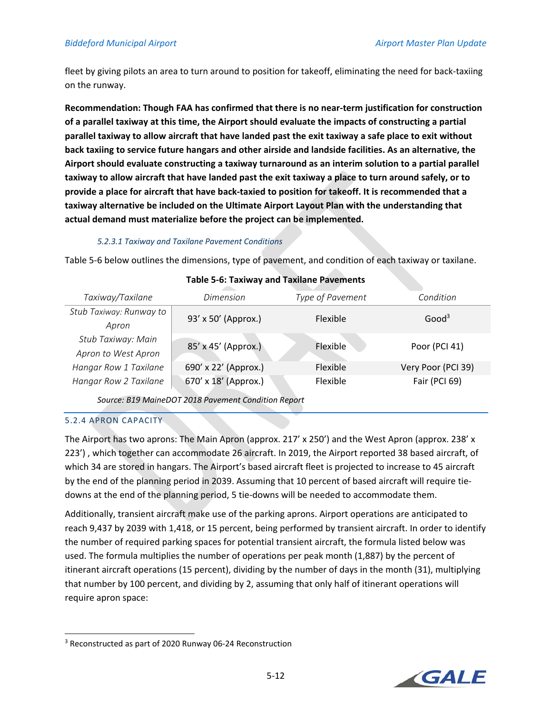## *Biddeford Municipal Airport Airport Master Plan Update*

fleet by giving pilots an area to turn around to position for takeoff, eliminating the need for back‐taxiing on the runway.

**Recommendation: Though FAA has confirmed that there is no near‐term justification for construction of a parallel taxiway at this time, the Airport should evaluate the impacts of constructing a partial parallel taxiway to allow aircraft that have landed past the exit taxiway a safe place to exit without back taxiing to service future hangars and other airside and landside facilities. As an alternative, the Airport should evaluate constructing a taxiway turnaround as an interim solution to a partial parallel taxiway to allow aircraft that have landed past the exit taxiway a place to turn around safely, or to provide a place for aircraft that have back‐taxied to position for takeoff. It is recommended that a taxiway alternative be included on the Ultimate Airport Layout Plan with the understanding that actual demand must materialize before the project can be implemented.** 

#### *5.2.3.1 Taxiway and Taxilane Pavement Conditions*

Table 5‐6 below outlines the dimensions, type of pavement, and condition of each taxiway or taxilane.

| Taxiway/Taxilane        | <b>Dimension</b>     | Type of Pavement | Condition          |  |
|-------------------------|----------------------|------------------|--------------------|--|
| Stub Taxiway: Runway to | 93' x 50' (Approx.)  | Flexible         | Good <sup>3</sup>  |  |
| Apron                   |                      |                  |                    |  |
| Stub Taxiway: Main      | 85' x 45' (Approx.)  | Flexible         |                    |  |
| Apron to West Apron     |                      |                  | Poor (PCI 41)      |  |
| Hangar Row 1 Taxilane   | 690' x 22' (Approx.) | Flexible         | Very Poor (PCI 39) |  |
| Hangar Row 2 Taxilane   | 670' x 18' (Approx.) | Flexible         | Fair (PCI 69)      |  |
|                         |                      |                  |                    |  |

#### **Table 5‐6: Taxiway and Taxilane Pavements**

*Source: B19 MaineDOT 2018 Pavement Condition Report* 

# 5.2.4 APRON CAPACITY

The Airport has two aprons: The Main Apron (approx. 217' x 250') and the West Apron (approx. 238' x 223') , which together can accommodate 26 aircraft. In 2019, the Airport reported 38 based aircraft, of which 34 are stored in hangars. The Airport's based aircraft fleet is projected to increase to 45 aircraft by the end of the planning period in 2039. Assuming that 10 percent of based aircraft will require tie‐ downs at the end of the planning period, 5 tie‐downs will be needed to accommodate them.

Additionally, transient aircraft make use of the parking aprons. Airport operations are anticipated to reach 9,437 by 2039 with 1,418, or 15 percent, being performed by transient aircraft. In order to identify the number of required parking spaces for potential transient aircraft, the formula listed below was used. The formula multiplies the number of operations per peak month (1,887) by the percent of itinerant aircraft operations (15 percent), dividing by the number of days in the month (31), multiplying that number by 100 percent, and dividing by 2, assuming that only half of itinerant operations will require apron space:



<sup>3</sup> Reconstructed as part of 2020 Runway 06‐24 Reconstruction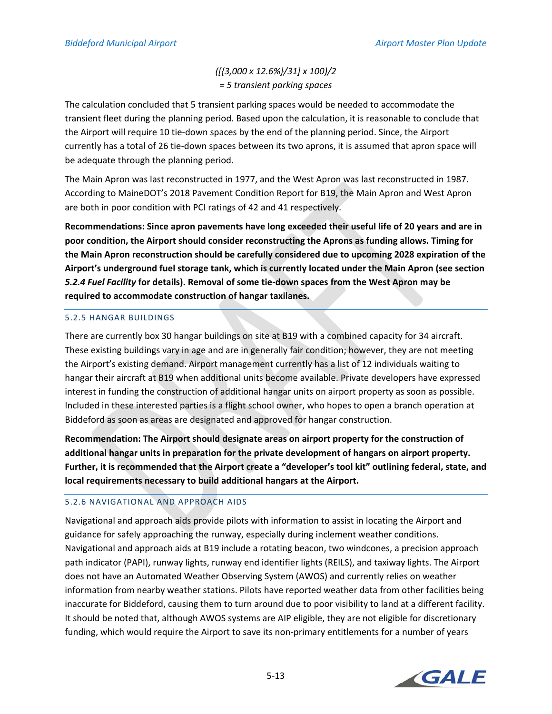# *([{3,000 x 12.6%}/31] x 100)/2 = 5 transient parking spaces*

The calculation concluded that 5 transient parking spaces would be needed to accommodate the transient fleet during the planning period. Based upon the calculation, it is reasonable to conclude that the Airport will require 10 tie‐down spaces by the end of the planning period. Since, the Airport currently has a total of 26 tie‐down spaces between its two aprons, it is assumed that apron space will be adequate through the planning period.

The Main Apron was last reconstructed in 1977, and the West Apron was last reconstructed in 1987. According to MaineDOT's 2018 Pavement Condition Report for B19, the Main Apron and West Apron are both in poor condition with PCI ratings of 42 and 41 respectively.

**Recommendations: Since apron pavements have long exceeded their useful life of 20 years and are in poor condition, the Airport should consider reconstructing the Aprons as funding allows. Timing for the Main Apron reconstruction should be carefully considered due to upcoming 2028 expiration of the Airport's underground fuel storage tank, which is currently located under the Main Apron (see section**  *5.2.4 Fuel Facility* **for details). Removal of some tie‐down spaces from the West Apron may be required to accommodate construction of hangar taxilanes.** 

# 5.2.5 HANGAR BUILDINGS

There are currently box 30 hangar buildings on site at B19 with a combined capacity for 34 aircraft. These existing buildings vary in age and are in generally fair condition; however, they are not meeting the Airport's existing demand. Airport management currently has a list of 12 individuals waiting to hangar their aircraft at B19 when additional units become available. Private developers have expressed interest in funding the construction of additional hangar units on airport property as soon as possible. Included in these interested parties is a flight school owner, who hopes to open a branch operation at Biddeford as soon as areas are designated and approved for hangar construction.

**Recommendation: The Airport should designate areas on airport property for the construction of additional hangar units in preparation for the private development of hangars on airport property. Further, it is recommended that the Airport create a "developer's tool kit" outlining federal, state, and local requirements necessary to build additional hangars at the Airport.** 

# 5.2.6 NAVIGATIONAL AND APPROACH AIDS

Navigational and approach aids provide pilots with information to assist in locating the Airport and guidance for safely approaching the runway, especially during inclement weather conditions. Navigational and approach aids at B19 include a rotating beacon, two windcones, a precision approach path indicator (PAPI), runway lights, runway end identifier lights (REILS), and taxiway lights. The Airport does not have an Automated Weather Observing System (AWOS) and currently relies on weather information from nearby weather stations. Pilots have reported weather data from other facilities being inaccurate for Biddeford, causing them to turn around due to poor visibility to land at a different facility. It should be noted that, although AWOS systems are AIP eligible, they are not eligible for discretionary funding, which would require the Airport to save its non-primary entitlements for a number of years

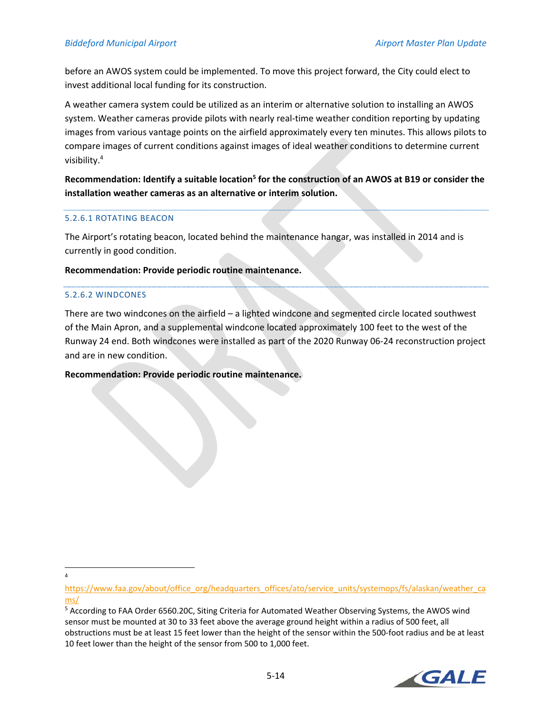before an AWOS system could be implemented. To move this project forward, the City could elect to invest additional local funding for its construction.

A weather camera system could be utilized as an interim or alternative solution to installing an AWOS system. Weather cameras provide pilots with nearly real-time weather condition reporting by updating images from various vantage points on the airfield approximately every ten minutes. This allows pilots to compare images of current conditions against images of ideal weather conditions to determine current visibility.4

Recommendation: Identify a suitable location<sup>5</sup> for the construction of an AWOS at B19 or consider the **installation weather cameras as an alternative or interim solution.** 

## 5.2.6.1 ROTATING BEACON

The Airport's rotating beacon, located behind the maintenance hangar, was installed in 2014 and is currently in good condition.

#### **Recommendation: Provide periodic routine maintenance.**

#### 5.2.6.2 WINDCONES

There are two windcones on the airfield – a lighted windcone and segmented circle located southwest of the Main Apron, and a supplemental windcone located approximately 100 feet to the west of the Runway 24 end. Both windcones were installed as part of the 2020 Runway 06‐24 reconstruction project and are in new condition.

## **Recommendation: Provide periodic routine maintenance.**

4

<sup>&</sup>lt;sup>5</sup> According to FAA Order 6560.20C, Siting Criteria for Automated Weather Observing Systems, the AWOS wind sensor must be mounted at 30 to 33 feet above the average ground height within a radius of 500 feet, all obstructions must be at least 15 feet lower than the height of the sensor within the 500‐foot radius and be at least 10 feet lower than the height of the sensor from 500 to 1,000 feet.



https://www.faa.gov/about/office\_org/headquarters\_offices/ato/service\_units/systemops/fs/alaskan/weather\_ca\_ ms/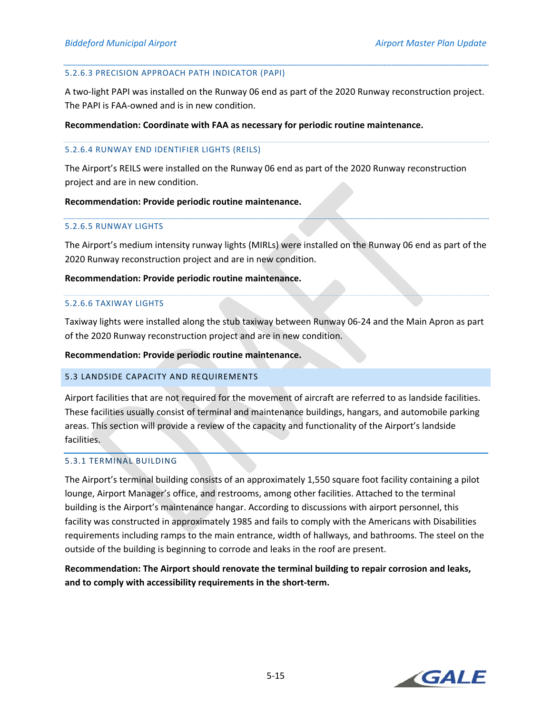#### 5.2.6.3 PRECISION APPROACH PATH INDICATOR (PAPI)

A two‐light PAPI was installed on the Runway 06 end as part of the 2020 Runway reconstruction project. The PAPI is FAA‐owned and is in new condition.

#### **Recommendation: Coordinate with FAA as necessary for periodic routine maintenance.**

#### 5.2.6.4 RUNWAY END IDENTIFIER LIGHTS (REILS)

The Airport's REILS were installed on the Runway 06 end as part of the 2020 Runway reconstruction project and are in new condition.

#### **Recommendation: Provide periodic routine maintenance.**

#### 5.2.6.5 RUNWAY LIGHTS

The Airport's medium intensity runway lights (MIRLs) were installed on the Runway 06 end as part of the 2020 Runway reconstruction project and are in new condition.

#### **Recommendation: Provide periodic routine maintenance.**

#### 5.2.6.6 TAXIWAY LIGHTS

Taxiway lights were installed along the stub taxiway between Runway 06‐24 and the Main Apron as part of the 2020 Runway reconstruction project and are in new condition.

#### **Recommendation: Provide periodic routine maintenance.**

## 5.3 LANDSIDE CAPACITY AND REQUIREMENTS

Airport facilities that are not required for the movement of aircraft are referred to as landside facilities. These facilities usually consist of terminal and maintenance buildings, hangars, and automobile parking areas. This section will provide a review of the capacity and functionality of the Airport's landside facilities.

# 5.3.1 TERMINAL BUILDING

The Airport's terminal building consists of an approximately 1,550 square foot facility containing a pilot lounge, Airport Manager's office, and restrooms, among other facilities. Attached to the terminal building is the Airport's maintenance hangar. According to discussions with airport personnel, this facility was constructed in approximately 1985 and fails to comply with the Americans with Disabilities requirements including ramps to the main entrance, width of hallways, and bathrooms. The steel on the outside of the building is beginning to corrode and leaks in the roof are present.

**Recommendation: The Airport should renovate the terminal building to repair corrosion and leaks, and to comply with accessibility requirements in the short‐term.** 

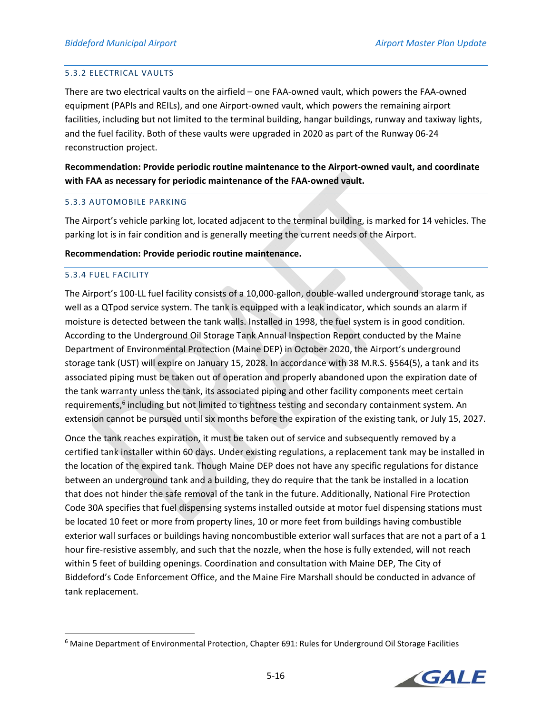## 5.3.2 ELECTRICAL VAULTS

There are two electrical vaults on the airfield – one FAA‐owned vault, which powers the FAA‐owned equipment (PAPIs and REILs), and one Airport-owned vault, which powers the remaining airport facilities, including but not limited to the terminal building, hangar buildings, runway and taxiway lights, and the fuel facility. Both of these vaults were upgraded in 2020 as part of the Runway 06‐24 reconstruction project.

**Recommendation: Provide periodic routine maintenance to the Airport‐owned vault, and coordinate with FAA as necessary for periodic maintenance of the FAA‐owned vault.** 

#### 5.3.3 AUTOMOBILE PARKING

The Airport's vehicle parking lot, located adjacent to the terminal building, is marked for 14 vehicles. The parking lot is in fair condition and is generally meeting the current needs of the Airport.

#### **Recommendation: Provide periodic routine maintenance.**

#### 5.3.4 FUEL FACILITY

The Airport's 100‐LL fuel facility consists of a 10,000‐gallon, double‐walled underground storage tank, as well as a QTpod service system. The tank is equipped with a leak indicator, which sounds an alarm if moisture is detected between the tank walls. Installed in 1998, the fuel system is in good condition. According to the Underground Oil Storage Tank Annual Inspection Report conducted by the Maine Department of Environmental Protection (Maine DEP) in October 2020, the Airport's underground storage tank (UST) will expire on January 15, 2028. In accordance with 38 M.R.S. §564(5), a tank and its associated piping must be taken out of operation and properly abandoned upon the expiration date of the tank warranty unless the tank, its associated piping and other facility components meet certain requirements,<sup>6</sup> including but not limited to tightness testing and secondary containment system. An extension cannot be pursued until six months before the expiration of the existing tank, or July 15, 2027.

Once the tank reaches expiration, it must be taken out of service and subsequently removed by a certified tank installer within 60 days. Under existing regulations, a replacement tank may be installed in the location of the expired tank. Though Maine DEP does not have any specific regulations for distance between an underground tank and a building, they do require that the tank be installed in a location that does not hinder the safe removal of the tank in the future. Additionally, National Fire Protection Code 30A specifies that fuel dispensing systems installed outside at motor fuel dispensing stations must be located 10 feet or more from property lines, 10 or more feet from buildings having combustible exterior wall surfaces or buildings having noncombustible exterior wall surfaces that are not a part of a 1 hour fire-resistive assembly, and such that the nozzle, when the hose is fully extended, will not reach within 5 feet of building openings. Coordination and consultation with Maine DEP, The City of Biddeford's Code Enforcement Office, and the Maine Fire Marshall should be conducted in advance of tank replacement.

<sup>&</sup>lt;sup>6</sup> Maine Department of Environmental Protection, Chapter 691: Rules for Underground Oil Storage Facilities

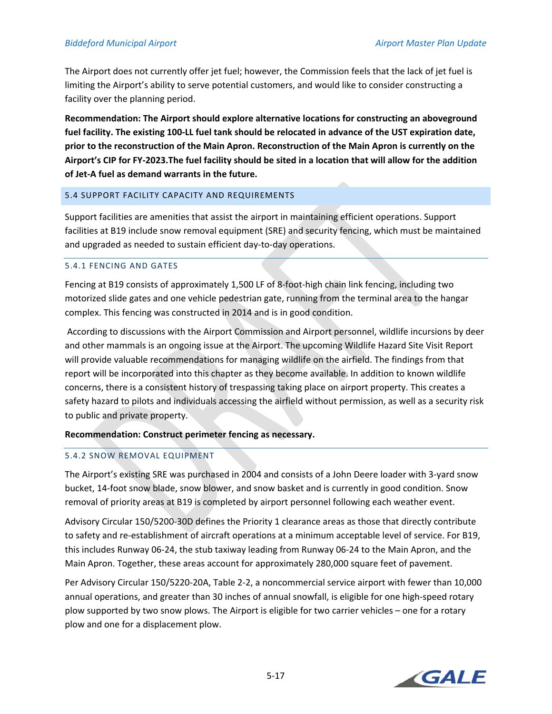The Airport does not currently offer jet fuel; however, the Commission feels that the lack of jet fuel is limiting the Airport's ability to serve potential customers, and would like to consider constructing a facility over the planning period.

**Recommendation: The Airport should explore alternative locations for constructing an aboveground fuel facility. The existing 100‐LL fuel tank should be relocated in advance of the UST expiration date, prior to the reconstruction of the Main Apron. Reconstruction of the Main Apron is currently on the Airport's CIP for FY‐2023.The fuel facility should be sited in a location that will allow for the addition of Jet‐A fuel as demand warrants in the future.** 

## 5.4 SUPPORT FACILITY CAPACITY AND REQUIREMENTS

Support facilities are amenities that assist the airport in maintaining efficient operations. Support facilities at B19 include snow removal equipment (SRE) and security fencing, which must be maintained and upgraded as needed to sustain efficient day-to-day operations.

## 5.4.1 FENCING AND GATES

Fencing at B19 consists of approximately 1,500 LF of 8‐foot‐high chain link fencing, including two motorized slide gates and one vehicle pedestrian gate, running from the terminal area to the hangar complex. This fencing was constructed in 2014 and is in good condition.

 According to discussions with the Airport Commission and Airport personnel, wildlife incursions by deer and other mammals is an ongoing issue at the Airport. The upcoming Wildlife Hazard Site Visit Report will provide valuable recommendations for managing wildlife on the airfield. The findings from that report will be incorporated into this chapter as they become available. In addition to known wildlife concerns, there is a consistent history of trespassing taking place on airport property. This creates a safety hazard to pilots and individuals accessing the airfield without permission, as well as a security risk to public and private property.

# **Recommendation: Construct perimeter fencing as necessary.**

## 5.4.2 SNOW REMOVAL EQUIPMENT

The Airport's existing SRE was purchased in 2004 and consists of a John Deere loader with 3‐yard snow bucket, 14‐foot snow blade, snow blower, and snow basket and is currently in good condition. Snow removal of priority areas at B19 is completed by airport personnel following each weather event.

Advisory Circular 150/5200‐30D defines the Priority 1 clearance areas as those that directly contribute to safety and re-establishment of aircraft operations at a minimum acceptable level of service. For B19, this includes Runway 06‐24, the stub taxiway leading from Runway 06‐24 to the Main Apron, and the Main Apron. Together, these areas account for approximately 280,000 square feet of pavement.

Per Advisory Circular 150/5220‐20A, Table 2‐2, a noncommercial service airport with fewer than 10,000 annual operations, and greater than 30 inches of annual snowfall, is eligible for one high‐speed rotary plow supported by two snow plows. The Airport is eligible for two carrier vehicles – one for a rotary plow and one for a displacement plow.

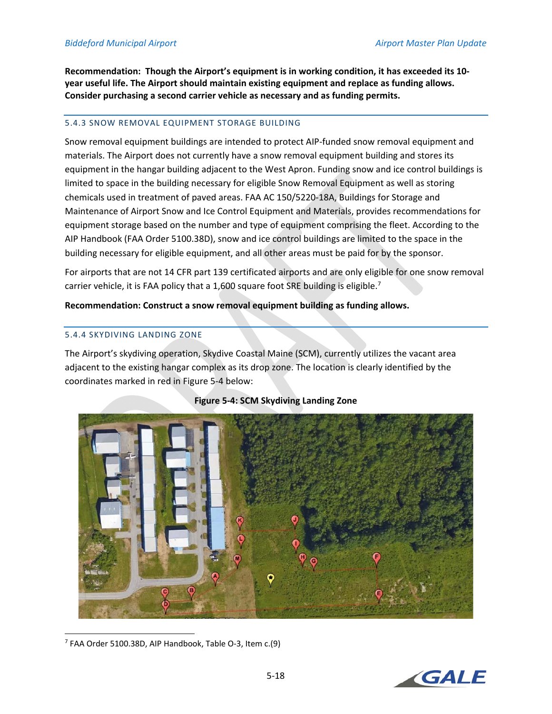**Recommendation: Though the Airport's equipment is in working condition, it has exceeded its 10‐ year useful life. The Airport should maintain existing equipment and replace as funding allows. Consider purchasing a second carrier vehicle as necessary and as funding permits.** 

#### 5.4.3 SNOW REMOVAL EQUIPMENT STORAGE BUILDING

Snow removal equipment buildings are intended to protect AIP‐funded snow removal equipment and materials. The Airport does not currently have a snow removal equipment building and stores its equipment in the hangar building adjacent to the West Apron. Funding snow and ice control buildings is limited to space in the building necessary for eligible Snow Removal Equipment as well as storing chemicals used in treatment of paved areas. FAA AC 150/5220‐18A, Buildings for Storage and Maintenance of Airport Snow and Ice Control Equipment and Materials, provides recommendations for equipment storage based on the number and type of equipment comprising the fleet. According to the AIP Handbook (FAA Order 5100.38D), snow and ice control buildings are limited to the space in the building necessary for eligible equipment, and all other areas must be paid for by the sponsor.

For airports that are not 14 CFR part 139 certificated airports and are only eligible for one snow removal carrier vehicle, it is FAA policy that a 1,600 square foot SRE building is eligible.<sup>7</sup>

**Recommendation: Construct a snow removal equipment building as funding allows.** 

#### 5.4.4 SKYDIVING LANDING ZONE

The Airport's skydiving operation, Skydive Coastal Maine (SCM), currently utilizes the vacant area adjacent to the existing hangar complex as its drop zone. The location is clearly identified by the coordinates marked in red in Figure 5‐4 below:



## **Figure 5‐4: SCM Skydiving Landing Zone**



<sup>7</sup> FAA Order 5100.38D, AIP Handbook, Table O‐3, Item c.(9)